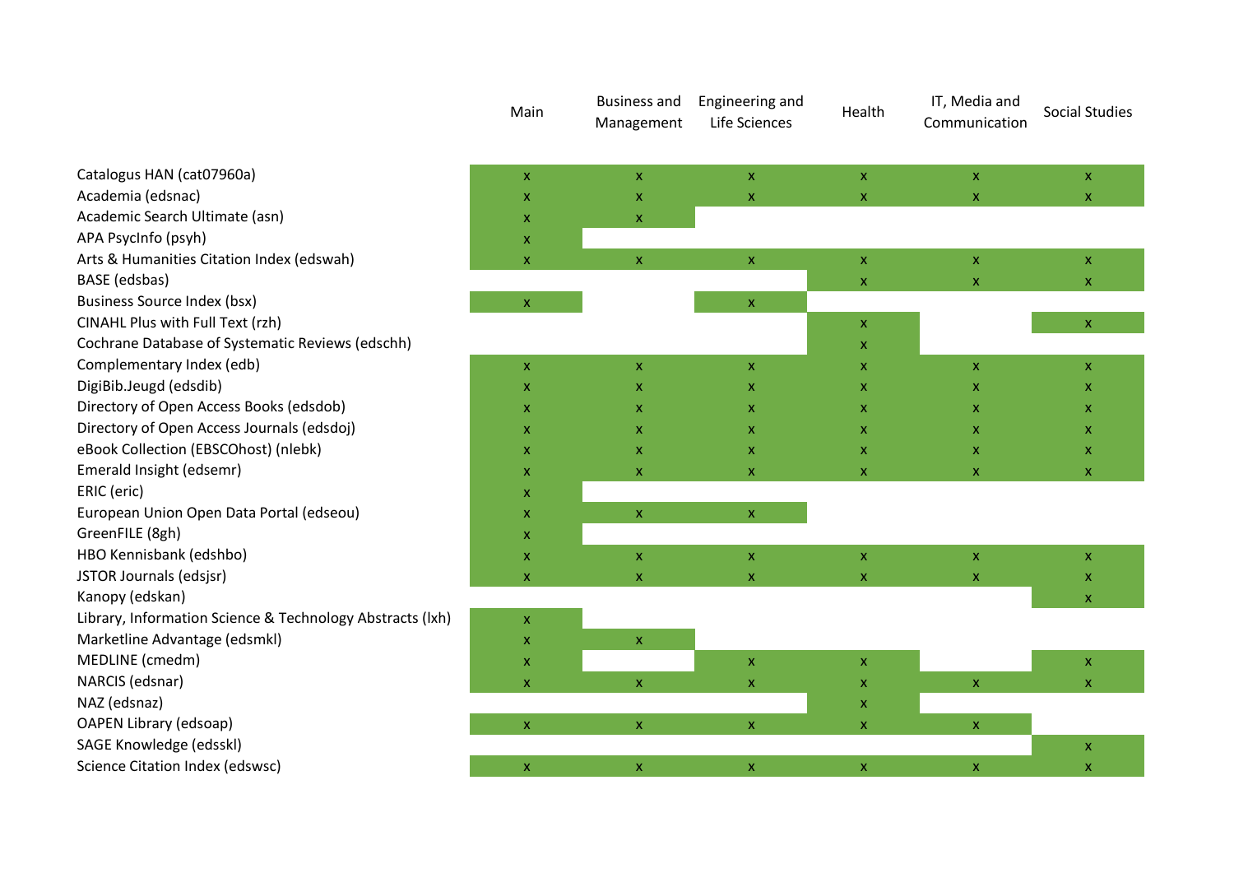|                                                           | Main | <b>Business and</b><br>Management | Engineering and<br>Life Sciences | Health                    | IT, Media and<br>Communication | <b>Social Studies</b>     |
|-----------------------------------------------------------|------|-----------------------------------|----------------------------------|---------------------------|--------------------------------|---------------------------|
| Catalogus HAN (cat07960a)                                 | X    | $\mathsf X$                       | $\pmb{\mathsf{X}}$               | $\mathsf X$               | $\pmb{\mathsf{X}}$             | $\boldsymbol{\mathsf{x}}$ |
| Academia (edsnac)                                         | X    | $\mathsf X$                       | $\pmb{\mathsf{x}}$               | $\mathsf X$               | $\pmb{\mathsf{X}}$             | $\mathsf X$               |
| Academic Search Ultimate (asn)                            | X    | $\mathsf{x}$                      |                                  |                           |                                |                           |
| APA PsycInfo (psyh)                                       | X    |                                   |                                  |                           |                                |                           |
| Arts & Humanities Citation Index (edswah)                 | X    | $\mathsf{X}$                      | $\mathsf X$                      | $\mathsf X$               | $\mathsf X$                    | $\mathsf{x}$              |
| BASE (edsbas)                                             |      |                                   |                                  | $\mathsf{X}$              | $\mathsf{x}$                   | $\mathsf X$               |
| <b>Business Source Index (bsx)</b>                        | X    |                                   | $\mathsf X$                      |                           |                                |                           |
| CINAHL Plus with Full Text (rzh)                          |      |                                   |                                  | x                         |                                | $\boldsymbol{\mathsf{x}}$ |
| Cochrane Database of Systematic Reviews (edschh)          |      |                                   |                                  | X                         |                                |                           |
| Complementary Index (edb)                                 | X    | X                                 | $\pmb{\mathsf{x}}$               | X                         | $\boldsymbol{\mathsf{X}}$      | $\mathsf X$               |
| DigiBib.Jeugd (edsdib)                                    | X    | x                                 | X                                | x                         | X                              | $\mathsf{x}$              |
| Directory of Open Access Books (edsdob)                   | X    | X                                 | $\pmb{\mathsf{X}}$               | X                         | $\boldsymbol{\mathsf{X}}$      | $\mathsf{x}$              |
| Directory of Open Access Journals (edsdoj)                | X    | X                                 | $\pmb{\mathsf{X}}$               | x                         | X                              | $\mathsf{x}$              |
| eBook Collection (EBSCOhost) (nlebk)                      | X    | X                                 | $\mathsf{x}$                     | X                         | $\boldsymbol{\mathsf{X}}$      | $\mathsf{x}$              |
| Emerald Insight (edsemr)                                  | X    | X.                                | X                                | X                         | X                              | $\mathsf X$               |
| ERIC (eric)                                               | X    |                                   |                                  |                           |                                |                           |
| European Union Open Data Portal (edseou)                  | X    | $\mathsf X$                       | $\pmb{\mathsf{X}}$               |                           |                                |                           |
| GreenFILE (8gh)                                           | x    |                                   |                                  |                           |                                |                           |
| HBO Kennisbank (edshbo)                                   | X    | $\bar{\mathbf{X}}$                | $\bar{\mathbf{X}}$               | $\mathsf X$               | $\bar{\mathbf{X}}$             | $\mathsf X$               |
| JSTOR Journals (edsjsr)                                   | X    | $\mathsf{x}$                      | $\mathsf{x}$                     | $\mathsf{X}$              | $\mathsf{x}$                   | X                         |
| Kanopy (edskan)                                           |      |                                   |                                  |                           |                                | $\mathsf X$               |
| Library, Information Science & Technology Abstracts (lxh) | X    |                                   |                                  |                           |                                |                           |
| Marketline Advantage (edsmkl)                             | X    | $\mathsf X$                       |                                  |                           |                                |                           |
| MEDLINE (cmedm)                                           | X    |                                   | $\pmb{\mathsf{X}}$               | $\boldsymbol{\mathsf{X}}$ |                                | $\mathsf X$               |
| NARCIS (edsnar)                                           | X    | $\mathsf{X}$                      | $\pmb{\mathsf{x}}$               | $\pmb{\mathsf{X}}$        | $\mathsf{x}$                   | $\boldsymbol{\mathsf{x}}$ |
| NAZ (edsnaz)                                              |      |                                   |                                  | $\boldsymbol{\mathsf{X}}$ |                                |                           |
| OAPEN Library (edsoap)                                    | X    | $\mathsf X$                       | $\mathsf X$                      | X                         | $\mathsf X$                    |                           |
| SAGE Knowledge (edsskl)                                   |      |                                   |                                  |                           |                                | $\mathsf X$               |
| Science Citation Index (edswsc)                           | X    | X                                 | $\mathsf X$                      | $\mathsf X$               | $\mathsf X$                    | $\mathsf X$               |